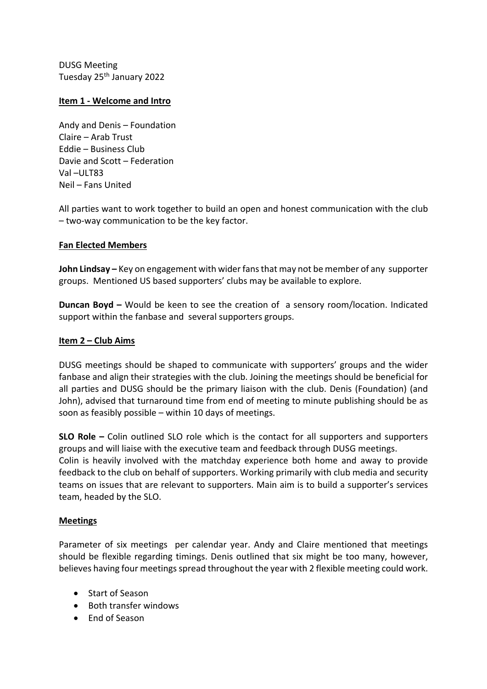DUSG Meeting Tuesday 25th January 2022

### **Item 1 - Welcome and Intro**

Andy and Denis – Foundation Claire – Arab Trust Eddie – Business Club Davie and Scott – Federation Val –ULT83 Neil – Fans United

All parties want to work together to build an open and honest communication with the club – two-way communication to be the key factor.

### **Fan Elected Members**

**John Lindsay –** Key on engagement with wider fans that may not be member of any supporter groups. Mentioned US based supporters' clubs may be available to explore.

**Duncan Boyd –** Would be keen to see the creation of a sensory room/location. Indicated support within the fanbase and several supporters groups.

#### **Item 2 – Club Aims**

DUSG meetings should be shaped to communicate with supporters' groups and the wider fanbase and align their strategies with the club. Joining the meetings should be beneficial for all parties and DUSG should be the primary liaison with the club. Denis (Foundation) (and John), advised that turnaround time from end of meeting to minute publishing should be as soon as feasibly possible – within 10 days of meetings.

**SLO Role –** Colin outlined SLO role which is the contact for all supporters and supporters groups and will liaise with the executive team and feedback through DUSG meetings. Colin is heavily involved with the matchday experience both home and away to provide feedback to the club on behalf of supporters. Working primarily with club media and security teams on issues that are relevant to supporters. Main aim is to build a supporter's services team, headed by the SLO.

#### **Meetings**

Parameter of six meetings per calendar year. Andy and Claire mentioned that meetings should be flexible regarding timings. Denis outlined that six might be too many, however, believes having four meetings spread throughout the year with 2 flexible meeting could work.

- Start of Season
- Both transfer windows
- End of Season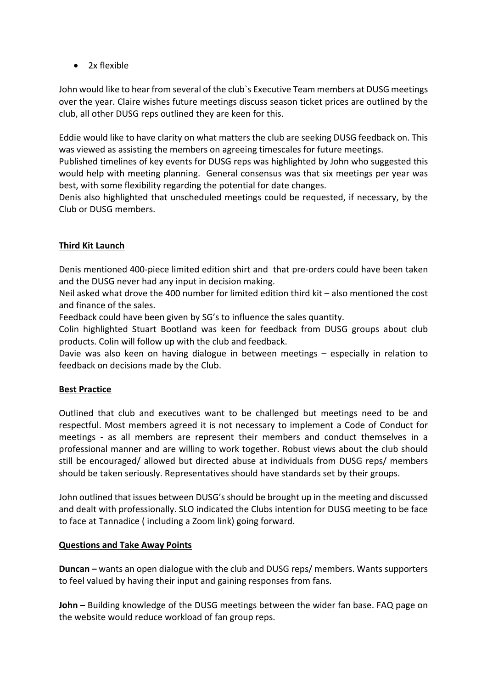• 2x flexible

John would like to hear from several of the club`s Executive Team members at DUSG meetings over the year. Claire wishes future meetings discuss season ticket prices are outlined by the club, all other DUSG reps outlined they are keen for this.

Eddie would like to have clarity on what matters the club are seeking DUSG feedback on. This was viewed as assisting the members on agreeing timescales for future meetings.

Published timelines of key events for DUSG reps was highlighted by John who suggested this would help with meeting planning. General consensus was that six meetings per year was best, with some flexibility regarding the potential for date changes.

Denis also highlighted that unscheduled meetings could be requested, if necessary, by the Club or DUSG members.

# **Third Kit Launch**

Denis mentioned 400-piece limited edition shirt and that pre-orders could have been taken and the DUSG never had any input in decision making.

Neil asked what drove the 400 number for limited edition third kit – also mentioned the cost and finance of the sales.

Feedback could have been given by SG's to influence the sales quantity.

Colin highlighted Stuart Bootland was keen for feedback from DUSG groups about club products. Colin will follow up with the club and feedback.

Davie was also keen on having dialogue in between meetings – especially in relation to feedback on decisions made by the Club.

## **Best Practice**

Outlined that club and executives want to be challenged but meetings need to be and respectful. Most members agreed it is not necessary to implement a Code of Conduct for meetings - as all members are represent their members and conduct themselves in a professional manner and are willing to work together. Robust views about the club should still be encouraged/ allowed but directed abuse at individuals from DUSG reps/ members should be taken seriously. Representatives should have standards set by their groups.

John outlined that issues between DUSG's should be brought up in the meeting and discussed and dealt with professionally. SLO indicated the Clubs intention for DUSG meeting to be face to face at Tannadice ( including a Zoom link) going forward.

## **Questions and Take Away Points**

**Duncan –** wants an open dialogue with the club and DUSG reps/ members. Wants supporters to feel valued by having their input and gaining responses from fans.

**John –** Building knowledge of the DUSG meetings between the wider fan base. FAQ page on the website would reduce workload of fan group reps.